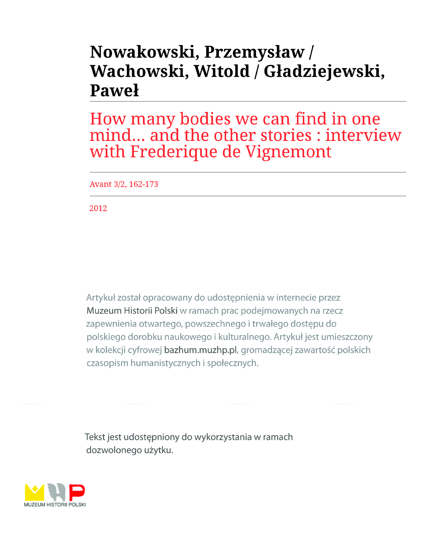# Nowakowski, Przemysław / Wachowski, Witold / Gładziejewski, Pawel

How many bodies we can find in one mind... and the other stories : interview with Frederique de Vignemont

Avant 3/2, 162-173

2012

Artykuł został opracowany do udostępnienia w internecie przez Muzeum Historii Polski w ramach prac podejmowanych na rzecz zapewnienia otwartego, powszechnego i trwałego dostępu do polskiego dorobku naukowego i kulturalnego. Artykuł jest umieszczony w kolekcji cyfrowej bazhum.muzhp.pl, gromadzącej zawartość polskich czasopism humanistycznych i społecznych.

Tekst jest udostępniony do wykorzystania w ramach dozwolonego użytku.

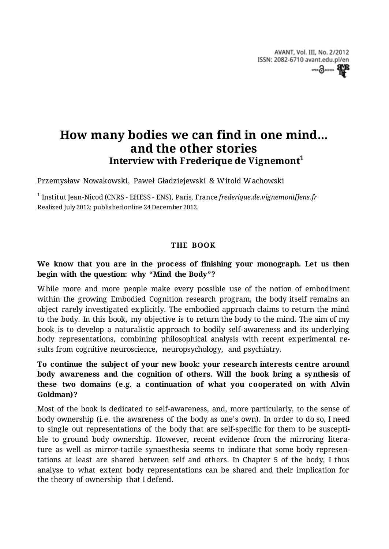# **How many bodies we can find in one mind... and the other stories Interview with Frederique de Vignemont<sup>1</sup>**

Przemysław Nowakowski, Paweł Gładziejewski & Witold Wachowski

1 Institut Jean-Nicod (CNRS - EHESS - ENS), Paris, France *frederique.de.vignemont[]ens.fr*  Realized July 2012; published online 24 December 2012.

#### **THE BOOK**

#### **We know that you are in the process of finishing your monograph. Let us then begin with the question: why "Mind the Body"?**

While more and more people make every possible use of the notion of embodiment within the growing Embodied Cognition research program, the body itself remains an object rarely investigated explicitly. The embodied approach claims to return the mind to the body. In this book, my objective is to return the body to the mind. The aim of my book is to develop a naturalistic approach to bodily self-awareness and its underlying body representations, combining philosophical analysis with recent experimental results from cognitive neuroscience, neuropsychology, and psychiatry.

# **To continue the subject of your new book: your research interests centre around body awareness and the cognition of others. Will the book bring a synthesis of these two domains (e.g. a continuation of what you cooperated on with Alvin Goldman)?**

Most of the book is dedicated to self-awareness, and, more particularly, to the sense of body ownership (i.e. the awareness of the body as one's own). In order to do so, I need to single out representations of the body that are self-specific for them to be susceptible to ground body ownership. However, recent evidence from the mirroring literature as well as mirror-tactile synaesthesia seems to indicate that some body representations at least are shared between self and others. In Chapter 5 of the body, I thus analyse to what extent body representations can be shared and their implication for the theory of ownership that I defend.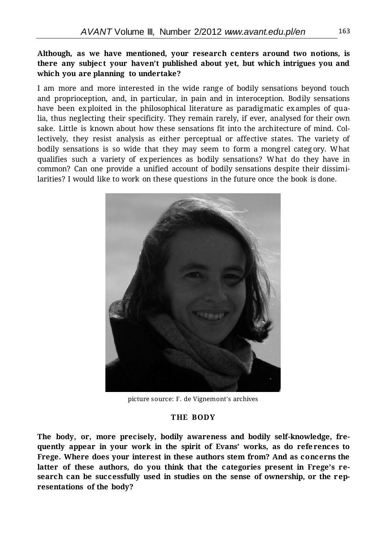#### **Although, as we have mentioned, your research centers around two notions, is there any subject your haven't published about yet, but which intrigues you and which you are planning to undertake?**

I am more and more interested in the wide range of bodily sensations beyond touch and proprioception, and, in particular, in pain and in interoception. Bodily sensations have been exploited in the philosophical literature as paradigmatic examples of qualia, thus neglecting their specificity. They remain rarely, if ever, analysed for their own sake. Little is known about how these sensations fit into the architecture of mind. Collectively, they resist analysis as either perceptual or affective states. The variety of bodily sensations is so wide that they may seem to form a mongrel categ ory. What qualifies such a variety of experiences as bodily sensations? What do they have in common? Can one provide a unified account of bodily sensations despite their dissimilarities? I would like to work on these questions in the future once the book is done.



picture source: F. de Vignemont's archives

#### **THE BODY**

**The body, or, more precisely, bodily awareness and bodily self-knowledge, frequently appear in your work in the spirit of Evans' works, as do references to Frege. Where does your interest in these authors stem from? And as concerns the latter of these authors, do you think that the categories present in Frege's research can be successfully used in studies on the sense of ownership, or the representations of the body?**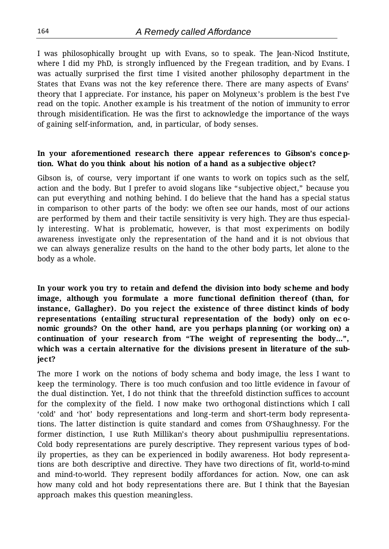I was philosophically brought up with Evans, so to speak. The Jean-Nicod Institute, where I did my PhD, is strongly influenced by the Fregean tradition, and by Evans. I was actually surprised the first time I visited another philosophy department in the States that Evans was not the key reference there. There are many aspects of Evans' theory that I appreciate. For instance, his paper on Molyneux's problem is the best I've read on the topic. Another example is his treatment of the notion of immunity to error through misidentification. He was the first to acknowledge the importance of the ways of gaining self-information, and, in particular, of body senses.

#### **In your aforementioned research there appear references to Gibson's conception. What do you think about his notion of a hand as a subjective object?**

Gibson is, of course, very important if one wants to work on topics such as the self, action and the body. But I prefer to avoid slogans like "subjective object," because you can put everything and nothing behind. I do believe that the hand has a special status in comparison to other parts of the body: we often see our hands, most of our actions are performed by them and their tactile sensitivity is very high. They are thus especially interesting. What is problematic, however, is that most experiments on bodily awareness investigate only the representation of the hand and it is not obvious that we can always generalize results on the hand to the other body parts, let alone to the body as a whole.

**In your work you try to retain and defend the division into body scheme and body image, although you formulate a more functional definition thereof (than, for instance, Gallagher). Do you reject the existence of three distinct kinds of body representations (entailing structural representation of the body) only on ec onomic grounds? On the other hand, are you perhaps planning (or working on) a continuation of your research from "The weight of representing the body…", which was a certain alternative for the divisions present in literature of the subject?**

The more I work on the notions of body schema and body image, the less I want to keep the terminology. There is too much confusion and too little evidence in favour of the dual distinction. Yet, I do not think that the threefold distinction suffices to account for the complexity of the field. I now make two orthogonal distinctions which I call 'cold' and 'hot' body representations and long-term and short-term body representations. The latter distinction is quite standard and comes from O'Shaughnessy. For the former distinction, I use Ruth Millikan's theory about pushmipulliu representations. Cold body representations are purely descriptive. They represent various types of bodily properties, as they can be experienced in bodily awareness. Hot body representations are both descriptive and directive. They have two directions of fit, world-to-mind and mind-to-world. They represent bodily affordances for action. Now, one can ask how many cold and hot body representations there are. But I think that the Bayesian approach makes this question meaningless.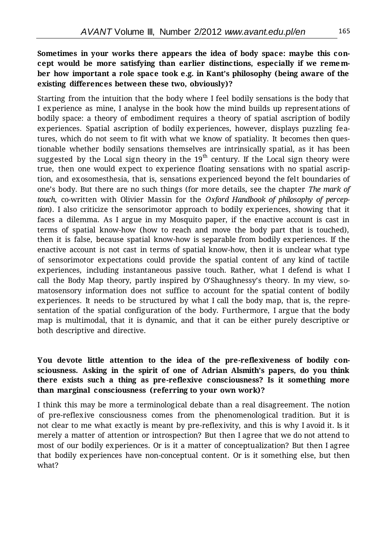# **Sometimes in your works there appears the idea of body space: maybe this concept would be more satisfying than earlier distinctions, especially if we remember how important a role space took e.g. in Kant's philosophy (being aware of the existing differences between these two, obviously)?**

Starting from the intuition that the body where I feel bodily sensations is the body that I experience as mine, I analyse in the book how the mind builds up representations of bodily space: a theory of embodiment requires a theory of spatial ascription of bodily experiences. Spatial ascription of bodily experiences, however, displays puzzling features, which do not seem to fit with what we know of spatiality. It becomes then questionable whether bodily sensations themselves are intrinsically spatial, as it has been suggested by the Local sign theory in the  $19<sup>th</sup>$  century. If the Local sign theory were true, then one would expect to experience floating sensations with no spatial ascription, and exosomesthesia, that is, sensations experienced beyond the felt boundaries of one's body. But there are no such things (for more details, see the chapter *The mark of touch*, co-written with Olivier Massin for the *Oxford Handbook of philosophy of perception*). I also criticize the sensorimotor approach to bodily experiences, showing that it faces a dilemma. As I argue in my Mosquito paper, if the enactive account is cast in terms of spatial know-how (how to reach and move the body part that is touched), then it is false, because spatial know-how is separable from bodily experiences. If the enactive account is not cast in terms of spatial know-how, then it is unclear what type of sensorimotor expectations could provide the spatial content of any kind of tactile experiences, including instantaneous passive touch. Rather, what I defend is what I call the Body Map theory, partly inspired by O'Shaughnessy's theory. In my view, somatosensory information does not suffice to account for the spatial content of bodily experiences. It needs to be structured by what I call the body map, that is, the representation of the spatial configuration of the body. Furthermore, I argue that the body map is multimodal, that it is dynamic, and that it can be either purely descriptive or both descriptive and directive.

# **You devote little attention to the idea of the pre-reflexiveness of bodily consciousness. Asking in the spirit of one of Adrian Alsmith's papers, do you think there exists such a thing as pre-reflexive consciousness? Is it something more than marginal consciousness (referring to your own work)?**

I think this may be more a terminological debate than a real disagreement. The notion of pre-reflexive consciousness comes from the phenomenological tradition. But it is not clear to me what exactly is meant by pre-reflexivity, and this is why I avoid it. Is it merely a matter of attention or introspection? But then I agree that we do not attend to most of our bodily experiences. Or is it a matter of conceptualization? But then I agree that bodily experiences have non-conceptual content. Or is it something else, but then what?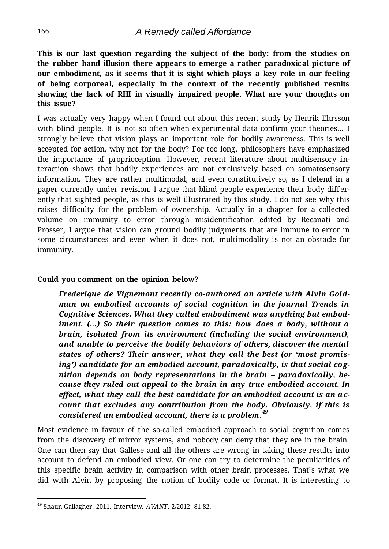**This is our last question regarding the subject of the body: from the studies on the rubber hand illusion there appears to emerge a rather paradoxical picture of our embodiment, as it seems that it is sight which plays a key role in our feeling of being corporeal, especially in the context of the recently published results showing the lack of RHI in visually impaired people. What are your thoughts on this issue?**

I was actually very happy when I found out about this recent study by Henrik Ehrsson with blind people. It is not so often when experimental data confirm your theories… I strongly believe that vision plays an important role for bodily awareness. This is well accepted for action, why not for the body? For too long, philosophers have emphasized the importance of proprioception. However, recent literature about multisensory interaction shows that bodily experiences are not exclusively based on somatosensory information. They are rather multimodal, and even constitutively so, as I defend in a paper currently under revision. I argue that blind people experience their body differently that sighted people, as this is well illustrated by this study. I do not see why this raises difficulty for the problem of ownership. Actually in a chapter for a collected volume on immunity to error through misidentification edited by Recanati and Prosser, I argue that vision can ground bodily judgments that are immune to error in some circumstances and even when it does not, multimodality is not an obstacle for immunity.

#### **Could you comment on the opinion below?**

*Frederique de Vignemont recently co-authored an article with Alvin Goldman on embodied accounts of social cognition in the journal Trends in Cognitive Sciences. What they called embodiment was anything but embodiment. (…) So their question comes to this: how does a body, without a brain, isolated from its environment (including the social environment), and unable to perceive the bodily behaviors of others, discover the mental states of others? Their answer, what they call the best (or 'most promising') candidate for an embodied account, paradoxically, is that social cognition depends on body representations in the brain – paradoxically, because they ruled out appeal to the brain in any true embodied account. In effect, what they call the best candidate for an embodied account is an account that excludes any contribution from the body. Obviously, if this is considered an embodied account, there is a problem. 49*

Most evidence in favour of the so-called embodied approach to social cognition comes from the discovery of mirror systems, and nobody can deny that they are in the brain. One can then say that Gallese and all the others are wrong in taking these results into account to defend an embodied view. Or one can try to determine the peculiarities of this specific brain activity in comparison with other brain processes. That's what we did with Alvin by proposing the notion of bodily code or format. It is interesting to

 $\overline{a}$ 

<sup>49</sup> Shaun Gallagher. 2011. Interview. *AVANT*, 2/2012: 81-82.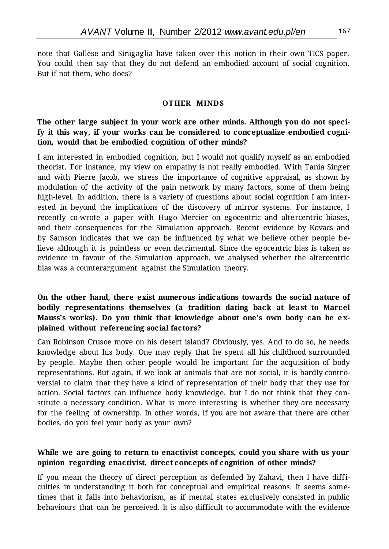note that Gallese and Sinigaglia have taken over this notion in their own TICS paper. You could then say that they do not defend an embodied account of social cognition. But if not them, who does?

#### **OTHER MINDS**

## **The other large subject in your work are other minds. Although you do not specify it this way, if your works can be considered to conceptualize embodied cognition, would that be embodied cognition of other minds?**

I am interested in embodied cognition, but I would not qualify myself as an embodied theorist. For instance, my view on empathy is not really embodied. With Tania Singer and with Pierre Jacob, we stress the importance of cognitive appraisal, as shown by modulation of the activity of the pain network by many factors, some of them being high-level. In addition, there is a variety of questions about social cognition I am interested in beyond the implications of the discovery of mirror systems. For instance, I recently co-wrote a paper with Hugo Mercier on egocentric and altercentric biases, and their consequences for the Simulation approach. Recent evidence by Kovacs and by Samson indicates that we can be influenced by what we believe other people believe although it is pointless or even detrimental. Since the egocentric bias is taken as evidence in favour of the Simulation approach, we analysed whether the altercentric bias was a counterargument against the Simulation theory.

# **On the other hand, there exist numerous indications towards the social nature of bodily representations themselves (a tradition dating back at least to Marcel Mauss's works). Do you think that knowledge about one's own body can be explained without referencing social factors?**

Can Robinson Crusoe move on his desert island? Obviously, yes. And to do so, he needs knowledge about his body. One may reply that he spent all his childhood surrounded by people. Maybe then other people would be important for the acquisition of body representations. But again, if we look at animals that are not social, it is hardly controversial to claim that they have a kind of representation of their body that they use for action. Social factors can influence body knowledge, but I do not think that they constitute a necessary condition. What is more interesting is whether they are necessary for the feeling of ownership. In other words, if you are not aware that there are other bodies, do you feel your body as your own?

#### **While we are going to return to enactivist concepts, could you share with us your opinion regarding enactivist, direct concepts of cognition of other minds?**

If you mean the theory of direct perception as defended by Zahavi, then I have difficulties in understanding it both for conceptual and empirical reasons. It seems sometimes that it falls into behaviorism, as if mental states exclusively consisted in public behaviours that can be perceived. It is also difficult to accommodate with the evidence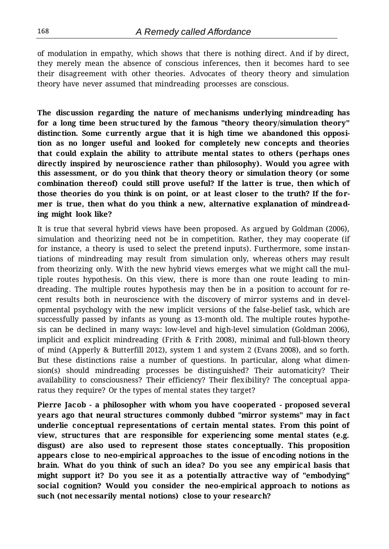of modulation in empathy, which shows that there is nothing direct. And if by direct, they merely mean the absence of conscious inferences, then it becomes hard to see their disagreement with other theories. Advocates of theory theory and simulation theory have never assumed that mindreading processes are conscious.

**The discussion regarding the nature of mechanisms underlying mindreading has for a long time been structured by the famous "theory theory/simulation theory" distinction. Some currently argue that it is high time we abandoned this opposition as no longer useful and looked for completely new concepts and theories that could explain the ability to attribute mental states to others (perhaps ones directly inspired by neuroscience rather than philosophy). Would you agree with this assessment, or do you think that theory theory or simulation theory (or some combination thereof) could still prove useful? If the latter is true, then which of those theories do you think is on point, or at least closer to the truth? If the former is true, then what do you think a new, alternative explanation of mindreading might look like?**

It is true that several hybrid views have been proposed. As argued by Goldman (2006), simulation and theorizing need not be in competition. Rather, they may cooperate (if for instance, a theory is used to select the pretend inputs). Furthermore, some instantiations of mindreading may result from simulation only, whereas others may result from theorizing only. With the new hybrid views emerges what we might call the multiple routes hypothesis. On this view, there is more than one route leading to mindreading. The multiple routes hypothesis may then be in a position to account for recent results both in neuroscience with the discovery of mirror systems and in developmental psychology with the new implicit versions of the false-belief task, which are successfully passed by infants as young as 13-month old. The multiple routes hypothesis can be declined in many ways: low-level and high-level simulation (Goldman 2006), implicit and explicit mindreading (Frith & Frith 2008), minimal and full-blown theory of mind (Apperly & Butterfill 2012), system 1 and system 2 (Evans 2008), and so forth. But these distinctions raise a number of questions. In particular, along what dimension(s) should mindreading processes be distinguished? Their automaticity? Their availability to consciousness? Their efficiency? Their flexibility? The conceptual apparatus they require? Or the types of mental states they target?

**Pierre Jacob - a philosopher with whom you have cooperated - proposed several years ago that neural structures commonly dubbed "mirror systems" may in fact underlie conceptual representations of certain mental states. From this point of view, structures that are responsible for experiencing some mental states (e.g. disgust) are also used to represent those states conceptually. This proposition appears close to neo-empirical approaches to the issue of encoding notions in the brain. What do you think of such an idea? Do you see any empirical basis that might support it? Do you see it as a potentially attractive way of "embodying" social cognition? Would you consider the neo-empirical approach to notions as such (not necessarily mental notions) close to your research?**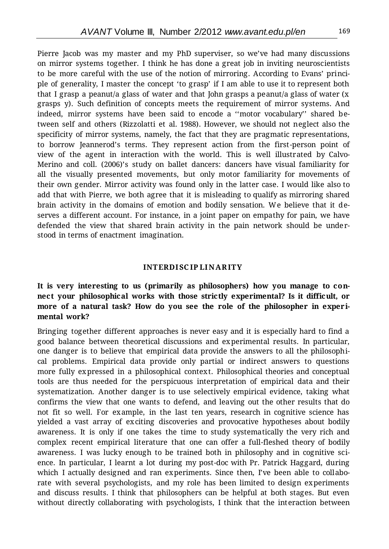Pierre Jacob was my master and my PhD superviser, so we've had many discussions on mirror systems together. I think he has done a great job in inviting neuroscientists to be more careful with the use of the notion of mirroring. According to Evans' principle of generality, I master the concept 'to grasp' if I am able to use it to represent both that I grasp a peanut/a glass of water and that John grasps a peanut/a glass of water (x grasps y). Such definition of concepts meets the requirement of mirror systems. And indeed, mirror systems have been said to encode a ''motor vocabulary'' shared between self and others (Rizzolatti et al. 1988). However, we should not neglect also the specificity of mirror systems, namely, the fact that they are pragmatic representations, to borrow Jeannerod's terms. They represent action from the first-person point of view of the agent in interaction with the world. This is well illustrated by Calvo-Merino and coll. (2006)'s study on ballet dancers: dancers have visual familiarity for all the visually presented movements, but only motor familiarity for movements of their own gender. Mirror activity was found only in the latter case. I would like also to add that with Pierre, we both agree that it is misleading to qualify as mirroring shared brain activity in the domains of emotion and bodily sensation. We believe that it deserves a different account. For instance, in a joint paper on empathy for pain, we have defended the view that shared brain activity in the pain network should be understood in terms of enactment imagination.

#### **INTERDI SC IP LI N AR ITY**

# **It is very interesting to us (primarily as philosophers) how you manage to connect your philosophical works with those strictly experimental? Is it difficult, or more of a natural task? How do you see the role of the philosopher in experimental work?**

Bringing together different approaches is never easy and it is especially hard to find a good balance between theoretical discussions and experimental results. In particular, one danger is to believe that empirical data provide the answers to all the philosophical problems. Empirical data provide only partial or indirect answers to questions more fully expressed in a philosophical context. Philosophical theories and conceptual tools are thus needed for the perspicuous interpretation of empirical data and their systematization. Another danger is to use selectively empirical evidence, taking what confirms the view that one wants to defend, and leaving out the other results that do not fit so well. For example, in the last ten years, research in cognitive science has yielded a vast array of exciting discoveries and provocative hypotheses about bodily awareness. It is only if one takes the time to study systematically the very rich and complex recent empirical literature that one can offer a full-fleshed theory of bodily awareness. I was lucky enough to be trained both in philosophy and in cognitive science. In particular, I learnt a lot during my post-doc with Pr. Patrick Haggard, during which I actually designed and ran experiments. Since then, I've been able to collaborate with several psychologists, and my role has been limited to design experiments and discuss results. I think that philosophers can be helpful at both stages. But even without directly collaborating with psychologists, I think that the interaction between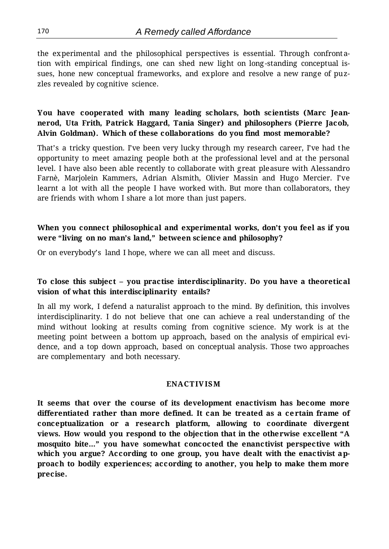the experimental and the philosophical perspectives is essential. Through confrontation with empirical findings, one can shed new light on long -standing conceptual issues, hone new conceptual frameworks, and explore and resolve a new range of puzzles revealed by cognitive science.

# **You have cooperated with many leading scholars, both scientists (Marc Jeannerod, Uta Frith, Patrick Haggard, Tania Singer) and philosophers (Pierre Jacob, Alvin Goldman). Which of these collaborations do you find most memorable?**

That's a tricky question. I've been very lucky through my research career, I've had the opportunity to meet amazing people both at the professional level and at the personal level. I have also been able recently to collaborate with great pleasure with Alessandro Farnè, Marjolein Kammers, Adrian Alsmith, Olivier Massin and Hugo Mercier. I've learnt a lot with all the people I have worked with. But more than collaborators, they are friends with whom I share a lot more than just papers.

# **When you connect philosophical and experimental works, don't you feel as if you were "living on no man's land," between science and philosophy?**

Or on everybody's land I hope, where we can all meet and discuss.

# **To close this subject – you practise interdisciplinarity. Do you have a theoretical vision of what this interdisciplinarity entails?**

In all my work, I defend a naturalist approach to the mind. By definition, this involves interdisciplinarity. I do not believe that one can achieve a real understanding of the mind without looking at results coming from cognitive science. My work is at the meeting point between a bottom up approach, based on the analysis of empirical evidence, and a top down approach, based on conceptual analysis. Those two approaches are complementary and both necessary.

#### **ENACTIV ISM**

**It seems that over the course of its development enactivism has become more differentiated rather than more defined. It can be treated as a certain frame of conceptualization or a research platform, allowing to coordinate divergent views. How would you respond to the objection that in the otherwise excellent "A mosquito bite…" you have somewhat concocted the enanctivist perspective with which you argue? According to one group, you have dealt with the enactivist approach to bodily experiences; according to another, you help to make them more precise.**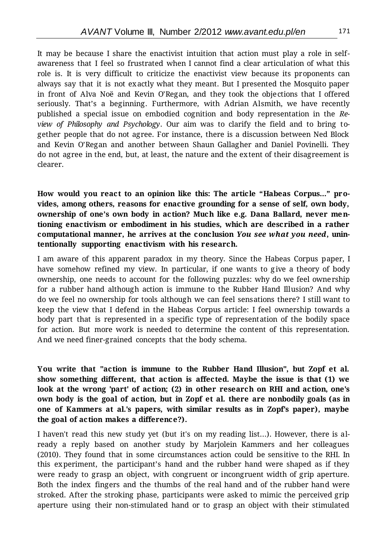It may be because I share the enactivist intuition that action must play a role in selfawareness that I feel so frustrated when I cannot find a clear articulation of what this role is. It is very difficult to criticize the enactivist view because its proponents can always say that it is not exactly what they meant. But I presented the Mosquito paper in front of Alva Noë and Kevin O'Regan, and they took the objections that I offered seriously. That's a beginning. Furthermore, with Adrian Alsmith, we have recently published a special issue on embodied cognition and body representation in the *Review of Philosophy and Psychology*. Our aim was to clarify the field and to bring together people that do not agree. For instance, there is a discussion between Ned Block and Kevin O'Regan and another between Shaun Gallagher and Daniel Povinelli. They do not agree in the end, but, at least, the nature and the extent of their disagreement is clearer.

**How would you react to an opinion like this: The article "Habeas Corpus…" provides, among others, reasons for enactive grounding for a sense of self, own body, ownership of one's own body in action? Much like e.g. Dana Ballard, never mentioning enactivism or embodiment in his studies, which are described in a rather computational manner, he arrives at the conclusion** *You see what you need***, unintentionally supporting enactivism with his research.** 

I am aware of this apparent paradox in my theory. Since the Habeas Corpus paper, I have somehow refined my view. In particular, if one wants to give a theory of body ownership, one needs to account for the following puzzles: why do we feel ownership for a rubber hand although action is immune to the Rubber Hand Illusion? And why do we feel no ownership for tools although we can feel sensations there? I still want to keep the view that I defend in the Habeas Corpus article: I feel ownership towards a body part that is represented in a specific type of representation of the bodily space for action. But more work is needed to determine the content of this representation. And we need finer-grained concepts that the body schema.

**You write that "action is immune to the Rubber Hand Illusion", but Zopf et al. show something different, that action is affected. Maybe the issue is that (1) we look at the wrong 'part' of action; (2) in other research on RHI and action, one's own body is the goal of action, but in Zopf et al. there are nonbodily goals (as in one of Kammers at al.'s papers, with similar results as in Zopf's paper), maybe the goal of action makes a difference?).**

I haven't read this new study yet (but it's on my reading list...). However, there is already a reply based on another study by Marjolein Kammers and her colleagues (2010). They found that in some circumstances action could be sensitive to the RHI. In this experiment, the participant's hand and the rubber hand were shaped as if they were ready to grasp an object, with congruent or incongruent width of grip aperture. Both the index fingers and the thumbs of the real hand and of the rubber hand were stroked. After the stroking phase, participants were asked to mimic the perceived grip aperture using their non-stimulated hand or to grasp an object with their stimulated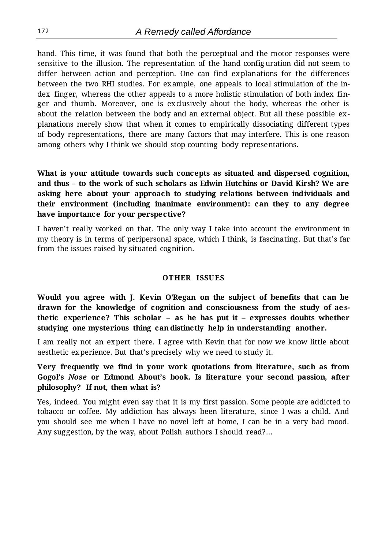hand. This time, it was found that both the perceptual and the motor responses were sensitive to the illusion. The representation of the hand configuration did not seem to differ between action and perception. One can find explanations for the differences between the two RHI studies. For example, one appeals to local stimulation of the index finger, whereas the other appeals to a more holistic stimulation of both index finger and thumb. Moreover, one is exclusively about the body, whereas the other is about the relation between the body and an external object. But all these possible explanations merely show that when it comes to empirically dissociating different types of body representations, there are many factors that may interfere. This is one reason among others why I think we should stop counting body representations.

**What is your attitude towards such concepts as situated and dispersed cognition, and thus – to the work of such scholars as Edwin Hutchins or David Kirsh? We are asking here about your approach to studying relations between individuals and their environment (including inanimate environment): can they to any degree have importance for your perspective?**

I haven't really worked on that. The only way I take into account the environment in my theory is in terms of peripersonal space, which I think, is fascinating. But that's far from the issues raised by situated cognition.

#### **OTHER ISSUES**

**Would you agree with J. Kevin O'Regan on the subject of benefits that can be drawn for the knowledge of cognition and consciousness from the study of aesthetic experience? This scholar – as he has put it – expresses doubts whether studying one mysterious thing can distinctly help in understanding another.**

I am really not an expert there. I agree with Kevin that for now we know little about aesthetic experience. But that's precisely why we need to study it.

**Very frequently we find in your work quotations from literature, such as from Gogol's** *Nose* **or Edmond About's book. Is literature your second passion, after philosophy? If not, then what is?**

Yes, indeed. You might even say that it is my first passion. Some people are addicted to tobacco or coffee. My addiction has always been literature, since I was a child. And you should see me when I have no novel left at home, I can be in a very bad mood. Any suggestion, by the way, about Polish authors I should read?...